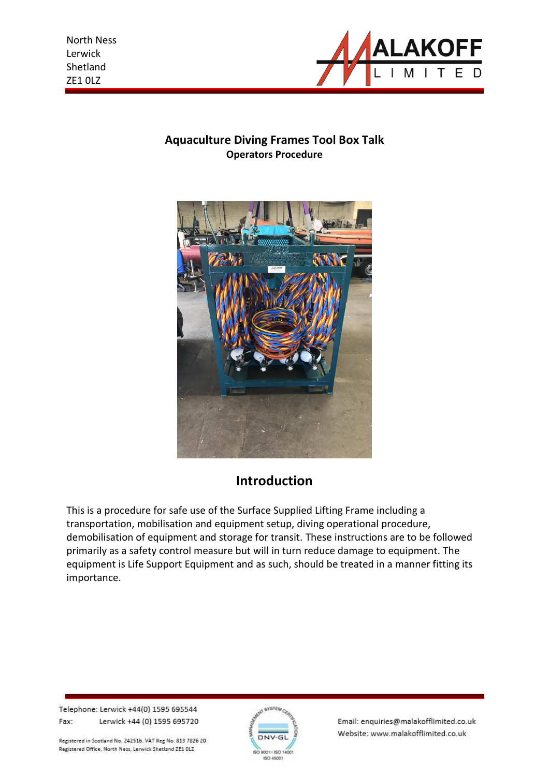

## **Aquaculture Diving Frames Tool Box Talk Operators Procedure**



# **Introduction**

This is a procedure for safe use of the Surface Supplied Lifting Frame including a transportation, mobilisation and equipment setup, diving operational procedure, demobilisation of equipment and storage for transit. These instructions are to be followed primarily as a safety control measure but will in turn reduce damage to equipment. The equipment is Life Support Equipment and as such, should be treated in a manner fitting its importance.

Telephone: Lerwick +44(0) 1595 695544 Fax: Lerwick +44 (0) 1595 695720

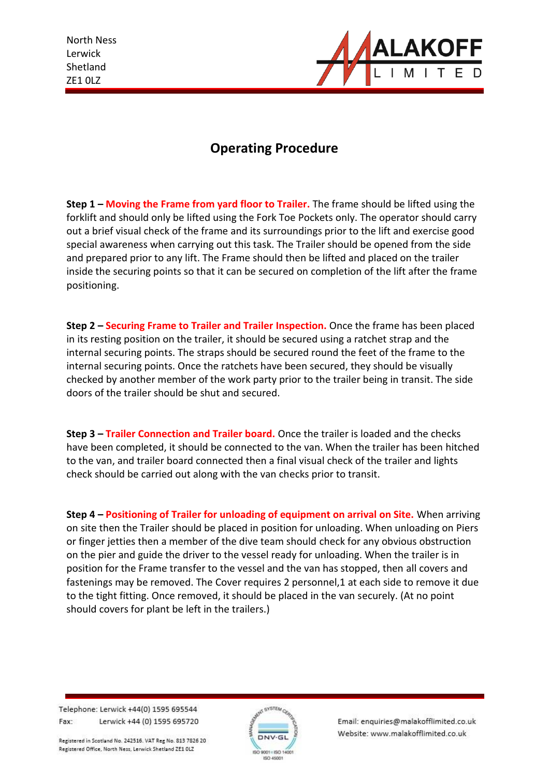

# **Operating Procedure**

**Step 1 – Moving the Frame from yard floor to Trailer.** The frame should be lifted using the forklift and should only be lifted using the Fork Toe Pockets only. The operator should carry out a brief visual check of the frame and its surroundings prior to the lift and exercise good special awareness when carrying out this task. The Trailer should be opened from the side and prepared prior to any lift. The Frame should then be lifted and placed on the trailer inside the securing points so that it can be secured on completion of the lift after the frame positioning.

**Step 2 – Securing Frame to Trailer and Trailer Inspection.** Once the frame has been placed in its resting position on the trailer, it should be secured using a ratchet strap and the internal securing points. The straps should be secured round the feet of the frame to the internal securing points. Once the ratchets have been secured, they should be visually checked by another member of the work party prior to the trailer being in transit. The side doors of the trailer should be shut and secured.

**Step 3 – Trailer Connection and Trailer board.** Once the trailer is loaded and the checks have been completed, it should be connected to the van. When the trailer has been hitched to the van, and trailer board connected then a final visual check of the trailer and lights check should be carried out along with the van checks prior to transit.

**Step 4 – Positioning of Trailer for unloading of equipment on arrival on Site.** When arriving on site then the Trailer should be placed in position for unloading. When unloading on Piers or finger jetties then a member of the dive team should check for any obvious obstruction on the pier and guide the driver to the vessel ready for unloading. When the trailer is in position for the Frame transfer to the vessel and the van has stopped, then all covers and fastenings may be removed. The Cover requires 2 personnel,1 at each side to remove it due to the tight fitting. Once removed, it should be placed in the van securely. (At no point should covers for plant be left in the trailers.)

Telephone: Lerwick +44(0) 1595 695544 Fax: Lerwick +44 (0) 1595 695720

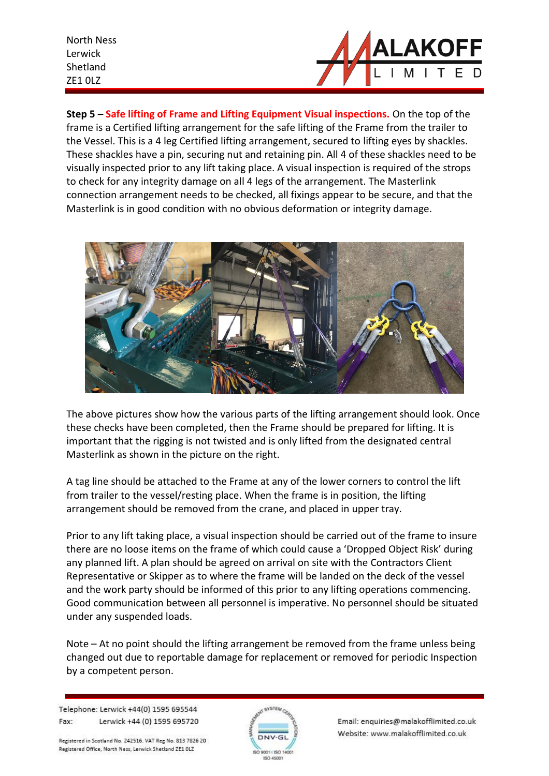

**Step 5 – Safe lifting of Frame and Lifting Equipment Visual inspections.** On the top of the frame is a Certified lifting arrangement for the safe lifting of the Frame from the trailer to the Vessel. This is a 4 leg Certified lifting arrangement, secured to lifting eyes by shackles. These shackles have a pin, securing nut and retaining pin. All 4 of these shackles need to be visually inspected prior to any lift taking place. A visual inspection is required of the strops to check for any integrity damage on all 4 legs of the arrangement. The Masterlink connection arrangement needs to be checked, all fixings appear to be secure, and that the Masterlink is in good condition with no obvious deformation or integrity damage.



The above pictures show how the various parts of the lifting arrangement should look. Once these checks have been completed, then the Frame should be prepared for lifting. It is important that the rigging is not twisted and is only lifted from the designated central Masterlink as shown in the picture on the right.

A tag line should be attached to the Frame at any of the lower corners to control the lift from trailer to the vessel/resting place. When the frame is in position, the lifting arrangement should be removed from the crane, and placed in upper tray.

Prior to any lift taking place, a visual inspection should be carried out of the frame to insure there are no loose items on the frame of which could cause a 'Dropped Object Risk' during any planned lift. A plan should be agreed on arrival on site with the Contractors Client Representative or Skipper as to where the frame will be landed on the deck of the vessel and the work party should be informed of this prior to any lifting operations commencing. Good communication between all personnel is imperative. No personnel should be situated under any suspended loads.

Note – At no point should the lifting arrangement be removed from the frame unless being changed out due to reportable damage for replacement or removed for periodic Inspection by a competent person.

Telephone: Lerwick +44(0) 1595 695544 Fax: Lerwick +44 (0) 1595 695720

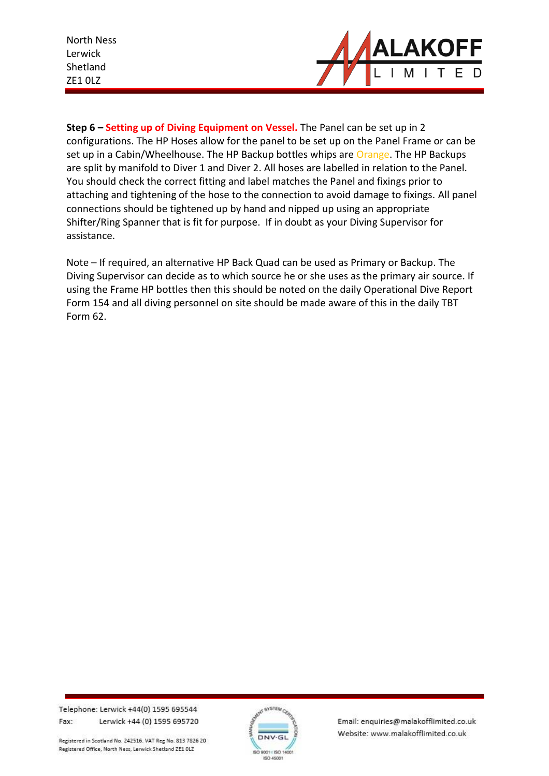

**Step 6 – Setting up of Diving Equipment on Vessel.** The Panel can be set up in 2 configurations. The HP Hoses allow for the panel to be set up on the Panel Frame or can be set up in a Cabin/Wheelhouse. The HP Backup bottles whips are Orange. The HP Backups are split by manifold to Diver 1 and Diver 2. All hoses are labelled in relation to the Panel. You should check the correct fitting and label matches the Panel and fixings prior to attaching and tightening of the hose to the connection to avoid damage to fixings. All panel connections should be tightened up by hand and nipped up using an appropriate Shifter/Ring Spanner that is fit for purpose. If in doubt as your Diving Supervisor for assistance.

Note – If required, an alternative HP Back Quad can be used as Primary or Backup. The Diving Supervisor can decide as to which source he or she uses as the primary air source. If using the Frame HP bottles then this should be noted on the daily Operational Dive Report Form 154 and all diving personnel on site should be made aware of this in the daily TBT Form 62.

Telephone: Lerwick +44(0) 1595 695544 Fax: Lerwick +44 (0) 1595 695720

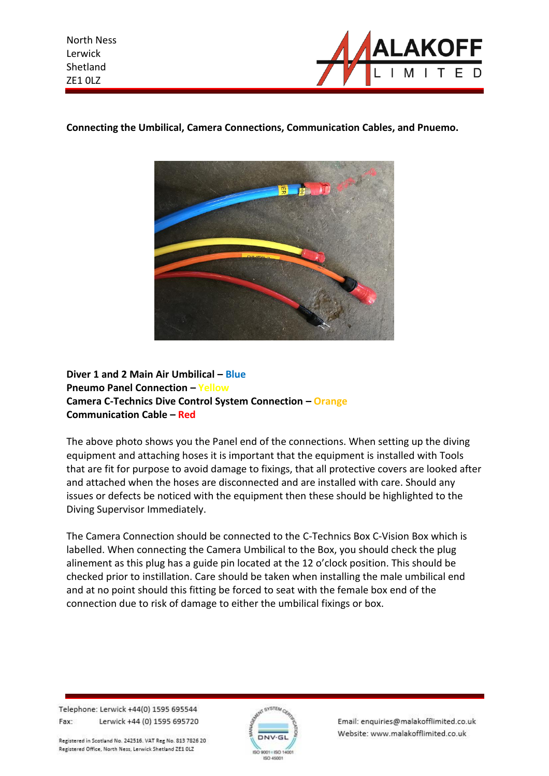



### **Connecting the Umbilical, Camera Connections, Communication Cables, and Pnuemo.**

**Diver 1 and 2 Main Air Umbilical – Blue Pneumo Panel Connection – Yellow Camera C-Technics Dive Control System Connection – Orange Communication Cable – Red**

The above photo shows you the Panel end of the connections. When setting up the diving equipment and attaching hoses it is important that the equipment is installed with Tools that are fit for purpose to avoid damage to fixings, that all protective covers are looked after and attached when the hoses are disconnected and are installed with care. Should any issues or defects be noticed with the equipment then these should be highlighted to the Diving Supervisor Immediately.

The Camera Connection should be connected to the C-Technics Box C-Vision Box which is labelled. When connecting the Camera Umbilical to the Box, you should check the plug alinement as this plug has a guide pin located at the 12 o'clock position. This should be checked prior to instillation. Care should be taken when installing the male umbilical end and at no point should this fitting be forced to seat with the female box end of the connection due to risk of damage to either the umbilical fixings or box.

Telephone: Lerwick +44(0) 1595 695544 Fax: Lerwick +44 (0) 1595 695720

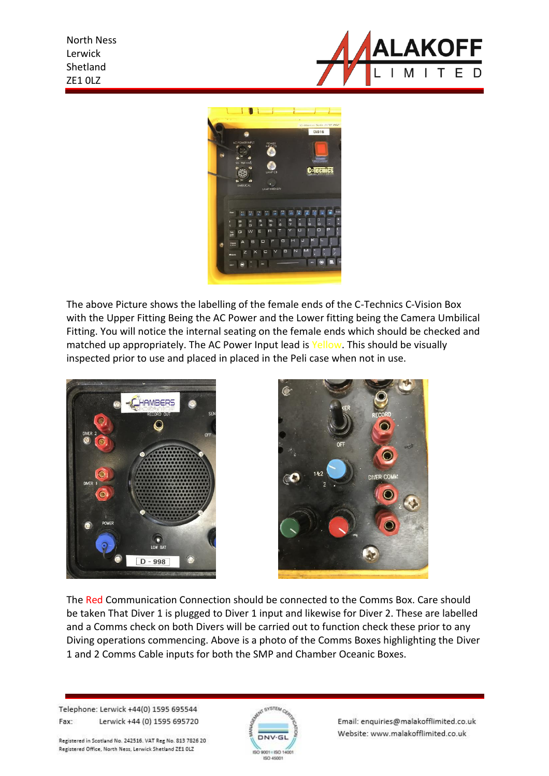



The above Picture shows the labelling of the female ends of the C-Technics C-Vision Box with the Upper Fitting Being the AC Power and the Lower fitting being the Camera Umbilical Fitting. You will notice the internal seating on the female ends which should be checked and matched up appropriately. The AC Power Input lead is Yellow. This should be visually inspected prior to use and placed in placed in the Peli case when not in use.





The Red Communication Connection should be connected to the Comms Box. Care should be taken That Diver 1 is plugged to Diver 1 input and likewise for Diver 2. These are labelled and a Comms check on both Divers will be carried out to function check these prior to any Diving operations commencing. Above is a photo of the Comms Boxes highlighting the Diver 1 and 2 Comms Cable inputs for both the SMP and Chamber Oceanic Boxes.

Telephone: Lerwick +44(0) 1595 695544 Fax: Lerwick +44 (0) 1595 695720

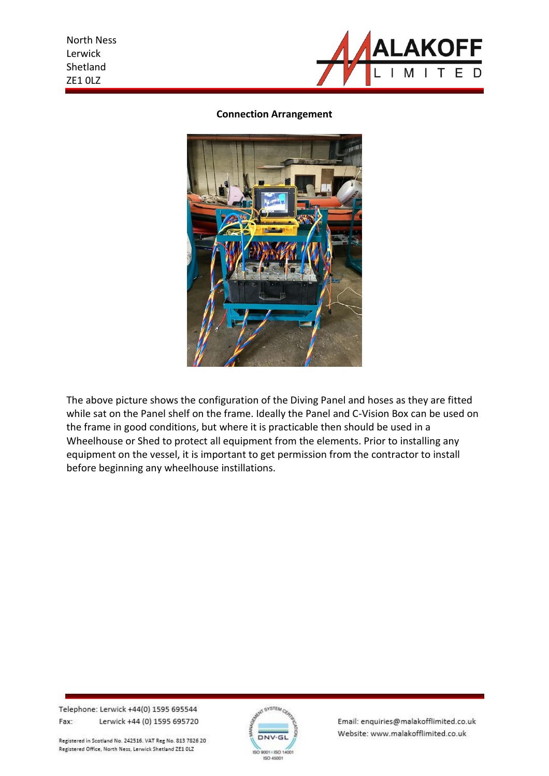

#### **Connection Arrangement**



The above picture shows the configuration of the Diving Panel and hoses as they are fitted while sat on the Panel shelf on the frame. Ideally the Panel and C-Vision Box can be used on the frame in good conditions, but where it is practicable then should be used in a Wheelhouse or Shed to protect all equipment from the elements. Prior to installing any equipment on the vessel, it is important to get permission from the contractor to install before beginning any wheelhouse instillations.

Telephone: Lerwick +44(0) 1595 695544 Fax: Lerwick +44 (0) 1595 695720

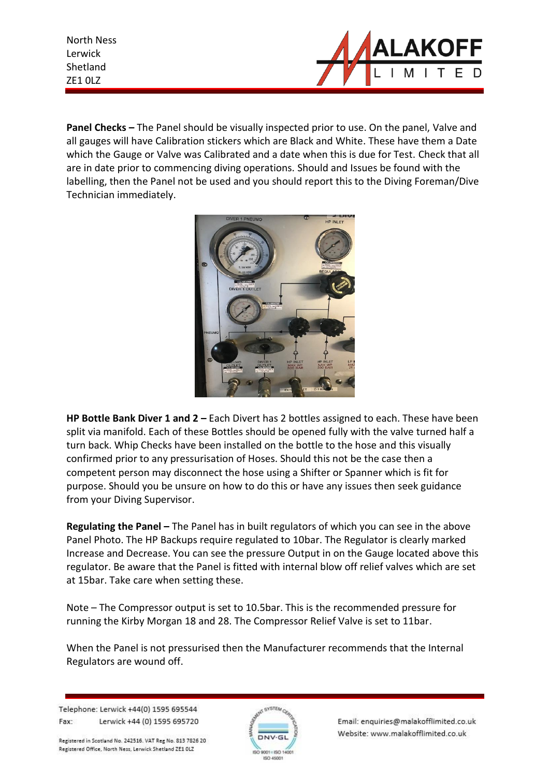

**Panel Checks –** The Panel should be visually inspected prior to use. On the panel, Valve and all gauges will have Calibration stickers which are Black and White. These have them a Date which the Gauge or Valve was Calibrated and a date when this is due for Test. Check that all are in date prior to commencing diving operations. Should and Issues be found with the labelling, then the Panel not be used and you should report this to the Diving Foreman/Dive Technician immediately.



**HP Bottle Bank Diver 1 and 2 –** Each Divert has 2 bottles assigned to each. These have been split via manifold. Each of these Bottles should be opened fully with the valve turned half a turn back. Whip Checks have been installed on the bottle to the hose and this visually confirmed prior to any pressurisation of Hoses. Should this not be the case then a competent person may disconnect the hose using a Shifter or Spanner which is fit for purpose. Should you be unsure on how to do this or have any issues then seek guidance from your Diving Supervisor.

**Regulating the Panel –** The Panel has in built regulators of which you can see in the above Panel Photo. The HP Backups require regulated to 10bar. The Regulator is clearly marked Increase and Decrease. You can see the pressure Output in on the Gauge located above this regulator. Be aware that the Panel is fitted with internal blow off relief valves which are set at 15bar. Take care when setting these.

Note – The Compressor output is set to 10.5bar. This is the recommended pressure for running the Kirby Morgan 18 and 28. The Compressor Relief Valve is set to 11bar.

When the Panel is not pressurised then the Manufacturer recommends that the Internal Regulators are wound off.

Telephone: Lerwick +44(0) 1595 695544 Fax: Lerwick +44 (0) 1595 695720

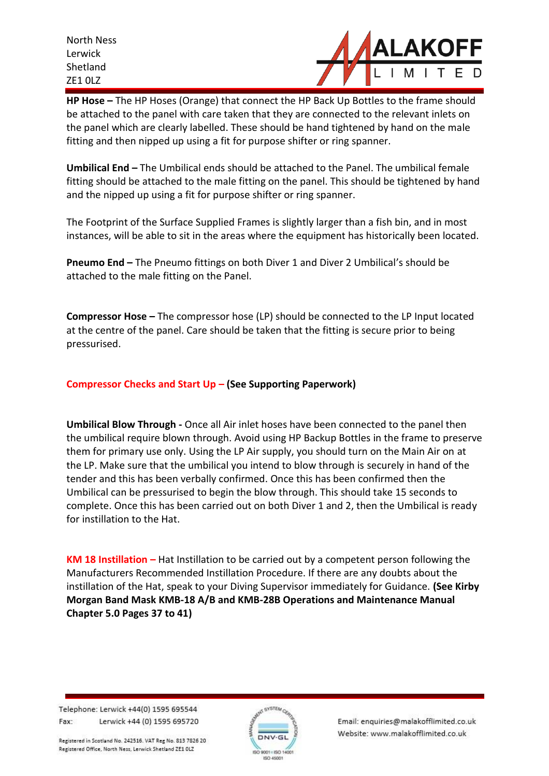

**HP Hose –** The HP Hoses (Orange) that connect the HP Back Up Bottles to the frame should be attached to the panel with care taken that they are connected to the relevant inlets on the panel which are clearly labelled. These should be hand tightened by hand on the male fitting and then nipped up using a fit for purpose shifter or ring spanner.

**Umbilical End –** The Umbilical ends should be attached to the Panel. The umbilical female fitting should be attached to the male fitting on the panel. This should be tightened by hand and the nipped up using a fit for purpose shifter or ring spanner.

The Footprint of the Surface Supplied Frames is slightly larger than a fish bin, and in most instances, will be able to sit in the areas where the equipment has historically been located.

**Pneumo End –** The Pneumo fittings on both Diver 1 and Diver 2 Umbilical's should be attached to the male fitting on the Panel.

**Compressor Hose –** The compressor hose (LP) should be connected to the LP Input located at the centre of the panel. Care should be taken that the fitting is secure prior to being pressurised.

### **Compressor Checks and Start Up – (See Supporting Paperwork)**

**Umbilical Blow Through -** Once all Air inlet hoses have been connected to the panel then the umbilical require blown through. Avoid using HP Backup Bottles in the frame to preserve them for primary use only. Using the LP Air supply, you should turn on the Main Air on at the LP. Make sure that the umbilical you intend to blow through is securely in hand of the tender and this has been verbally confirmed. Once this has been confirmed then the Umbilical can be pressurised to begin the blow through. This should take 15 seconds to complete. Once this has been carried out on both Diver 1 and 2, then the Umbilical is ready for instillation to the Hat.

**KM 18 Instillation –** Hat Instillation to be carried out by a competent person following the Manufacturers Recommended Instillation Procedure. If there are any doubts about the instillation of the Hat, speak to your Diving Supervisor immediately for Guidance. **(See Kirby Morgan Band Mask KMB-18 A/B and KMB-28B Operations and Maintenance Manual Chapter 5.0 Pages 37 to 41)**

Telephone: Lerwick +44(0) 1595 695544 Fax: Lerwick +44 (0) 1595 695720

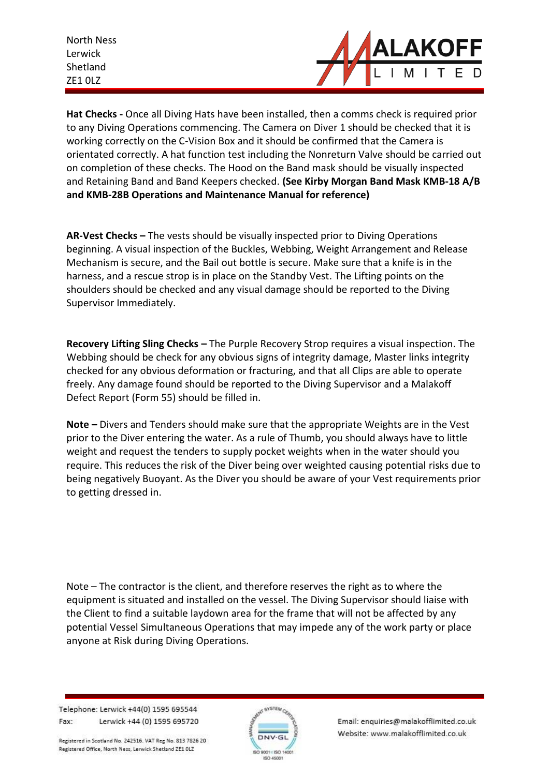

**Hat Checks -** Once all Diving Hats have been installed, then a comms check is required prior to any Diving Operations commencing. The Camera on Diver 1 should be checked that it is working correctly on the C-Vision Box and it should be confirmed that the Camera is orientated correctly. A hat function test including the Nonreturn Valve should be carried out on completion of these checks. The Hood on the Band mask should be visually inspected and Retaining Band and Band Keepers checked. **(See Kirby Morgan Band Mask KMB-18 A/B and KMB-28B Operations and Maintenance Manual for reference)**

**AR-Vest Checks –** The vests should be visually inspected prior to Diving Operations beginning. A visual inspection of the Buckles, Webbing, Weight Arrangement and Release Mechanism is secure, and the Bail out bottle is secure. Make sure that a knife is in the harness, and a rescue strop is in place on the Standby Vest. The Lifting points on the shoulders should be checked and any visual damage should be reported to the Diving Supervisor Immediately.

**Recovery Lifting Sling Checks –** The Purple Recovery Strop requires a visual inspection. The Webbing should be check for any obvious signs of integrity damage, Master links integrity checked for any obvious deformation or fracturing, and that all Clips are able to operate freely. Any damage found should be reported to the Diving Supervisor and a Malakoff Defect Report (Form 55) should be filled in.

**Note –** Divers and Tenders should make sure that the appropriate Weights are in the Vest prior to the Diver entering the water. As a rule of Thumb, you should always have to little weight and request the tenders to supply pocket weights when in the water should you require. This reduces the risk of the Diver being over weighted causing potential risks due to being negatively Buoyant. As the Diver you should be aware of your Vest requirements prior to getting dressed in.

Note – The contractor is the client, and therefore reserves the right as to where the equipment is situated and installed on the vessel. The Diving Supervisor should liaise with the Client to find a suitable laydown area for the frame that will not be affected by any potential Vessel Simultaneous Operations that may impede any of the work party or place anyone at Risk during Diving Operations.

Telephone: Lerwick +44(0) 1595 695544 Fax: Lerwick +44 (0) 1595 695720